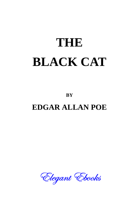## **THE BLACK CAT**

**BY**

## **EDGAR ALLAN POE**

Elegant Ebooks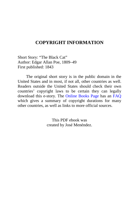## **COPYRIGHT INFORMATION**

Short Story: "The Black Cat" Author: Edgar Allan Poe, 1809–49 First published: 1843

The original short story is in the public domain in the United States and in most, if not all, other countries as well. Readers outside the United States should check their own countries' copyright laws to be certain they can legally download this e-story. The [Online Books Page](http://onlinebooks.library.upenn.edu/) has an [FAQ](http://onlinebooks.library.upenn.edu/okbooks.html) which gives a summary of copyright durations for many other countries, as well as links to more official sources.

> This PDF ebook was created by José Menéndez.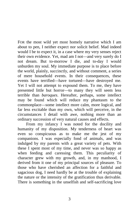FOR the most wild yet most homely narrative which I am about to pen, I neither expect nor solicit belief. Mad indeed would I be to expect it, in a case where my very senses reject their own evidence. Yet, mad am I not—and very surely do I not dream. But to-morrow I die, and to-day I would unburden my soul. My immediate purpose is to place before the world, plainly, succinctly, and without comment, a series of mere household events. In their consequences, these events have terrified—have tortured—have destroyed me. Yet I will not attempt to expound them. To me, they have presented little but horror—to many they will seem less terrible than *baroques*. Hereafter, perhaps, some intellect may be found which will reduce my phantasm to the commonplace—some intellect more calm, more logical, and far less excitable than my own, which will perceive, in the circumstances I detail with awe, nothing more than an ordinary succession of very natural causes and effects.

From my infancy I was noted for the docility and humanity of my disposition. My tenderness of heart was even so conspicuous as to make me the jest of my companions. I was especially fond of animals, and was indulged by my parents with a great variety of pets. With these I spent most of my time, and never was so happy as when feeding and caressing them. This peculiarity of character grew with my growth, and, in my manhood, I derived from it one of my principal sources of pleasure. To those who have cherished an affection for a faithful and sagacious dog, I need hardly be at the trouble of explaining the nature or the intensity of the gratification thus derivable. There is something in the unselfish and self-sacrificing love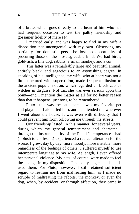of a brute, which goes directly to the heart of him who has had frequent occasion to test the paltry friendship and gossamer fidelity of mere *Man*.

I married early, and was happy to find in my wife a disposition not uncongenial with my own. Observing my partiality for domestic pets, she lost no opportunity of procuring those of the most agreeable kind. We had birds, gold-fish, a fine dog, rabbits, a small monkey, and a *cat*.

This latter was a remarkably large and beautiful animal, entirely black, and sagacious to an astonishing degree. In speaking of his intelligence, my wife, who at heart was not a little tinctured with superstition, made frequent allusion to the ancient popular notion, which regarded all black cats as witches in disguise. Not that she was ever *serious* upon this point—and I mention the matter at all for no better reason than that it happens, just now, to be remembered.

Pluto—this was the cat's name—was my favorite pet and playmate. I alone fed him, and he attended me wherever I went about the house. It was even with difficulty that I could prevent him from following me through the streets.

Our friendship lasted, in this manner, for several years, during which my general temperament and character through the instrumentality of the Fiend Intemperance—had (I blush to confess it) experienced a radical alteration for the worse. I grew, day by day, more moody, more irritable, more regardless of the feelings of others. I suffered myself to use intemperate language to my wife. At length, I even offered her personal violence. My pets, of course, were made to feel the change in my disposition. I not only neglected, but illused them. For Pluto, however, I still retained sufficient regard to restrain me from maltreating him, as I made no scruple of maltreating the rabbits, the monkey, or even the dog, when, by accident, or through affection, they came in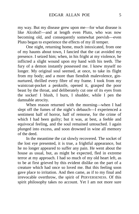my way. But my disease grew upon me—for what disease is like Alcohol!—and at length even Pluto, who was now becoming old, and consequently somewhat peevish—even Pluto began to experience the effects of my ill temper.

One night, returning home, much intoxicated, from one of my haunts about town, I fancied that the cat avoided my presence. I seized him; when, in his fright at my violence, he inflicted a slight wound upon my hand with his teeth. The fury of a demon instantly possessed me. I knew myself no longer. My original soul seemed, at once, to take its flight from my body; and a more than fiendish malevolence, ginnurtured, thrilled every fibre of my frame. I took from my waistcoat-pocket a penknife, opened it, grasped the poor beast by the throat, and deliberately cut one of its eyes from the socket! I blush, I burn, I shudder, while I pen the damnable atrocity.

When reason returned with the morning—when I had slept off the fumes of the night's debauch—I experienced a sentiment half of horror, half of remorse, for the crime of which I had been guilty; but it was, at best, a feeble and equivocal feeling, and the soul remained untouched. I again plunged into excess, and soon drowned in wine all memory of the deed.

In the meantime the cat slowly recovered. The socket of the lost eye presented, it is true, a frightful appearance, but he no longer appeared to suffer any pain. He went about the house as usual, but, as might be expected, fled in extreme terror at my approach. I had so much of my old heart left, as to be at first grieved by this evident dislike on the part of a creature which had once so loved me. But this feeling soon gave place to irritation. And then came, as if to my final and irrevocable overthrow, the spirit of PERVERSENESS. Of this spirit philosophy takes no account. Yet I am not more sure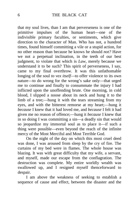that my soul lives, than I am that perverseness is one of the primitive impulses of the human heart—one of the indivisible primary faculties, or sentiments, which give direction to the character of Man. Who has not, a hundred times, found himself committing a vile or a stupid action, for no other reason than because he knows he should *not?* Have we not a perpetual inclination, in the teeth of our best judgment, to violate that which is *Law*, merely because we understand it to be such? This spirit of perverseness, I say, came to my final overthrow. It was this unfathomable longing of the soul *to vex itself*—to offer violence to its own nature—to do wrong for the wrong's sake only—that urged me to continue and finally to consummate the injury I had inflicted upon the unoffending brute. One morning, in cold blood, I slipped a noose about its neck and hung it to the limb of a tree;—hung it with the tears streaming from my eyes, and with the bitterest remorse at my heart;—hung it *because* I knew that it had loved me, and *because* I felt it had given me no reason of offence;—hung it *because* I knew that in so doing I was committing a sin—a deadly sin that would so jeopardize my immortal soul as to place it—if such a thing were possible—even beyond the reach of the infinite mercy of the Most Merciful and Most Terrible God.

On the night of the day on which this most cruel deed was done, I was aroused from sleep by the cry of fire. The curtains of my bed were in flames. The whole house was blazing. It was with great difficulty that my wife, a servant, and myself, made our escape from the conflagration. The destruction was complete. My entire worldly wealth was swallowed up, and I resigned myself thenceforward to despair.

I am above the weakness of seeking to establish a sequence of cause and effect, between the disaster and the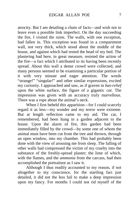atrocity. But I am detailing a chain of facts—and wish not to leave even a possible link imperfect. On the day succeeding the fire, I visited the ruins. The walls, with one exception, had fallen in. This exception was found in a compartment wall, not very thick, which stood about the middle of the house, and against which had rested the head of my bed. The plastering had here, in great measure, resisted the action of the fire—a fact which I attributed to its having been recently spread. About this wall a dense crowd were collected, and many persons seemed to be examining a particular portion of it with very minute and eager attention. The words "strange!" "singular!" and other similar expressions, excited my curiosity. I approached and saw, as if graven in *bas-relief* upon the white surface, the figure of a gigantic *cat*. The impression was given with an accuracy truly marvellous. There was a rope about the animal's neck.

When I first beheld this apparition—for I could scarcely regard it as less—my wonder and my terror were extreme. But at length reflection came to my aid. The cat, I remembered, had been hung in a garden adjacent to the house. Upon the alarm of fire, this garden had been immediately filled by the crowd—by some one of whom the animal must have been cut from the tree and thrown, through an open window, into my chamber. This had probably been done with the view of arousing me from sleep. The falling of other walls had compressed the victim of my cruelty into the substance of the freshly-spread plaster; the lime of which, with the flames, and the *ammonia* from the carcass, had then accomplished the portraiture as I saw it.

Although I thus readily accounted to my reason, if not altogether to my conscience, for the startling fact just detailed, it did not the less fail to make a deep impression upon my fancy. For months I could not rid myself of the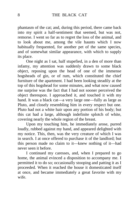phantasm of the cat; and, during this period, there came back into my spirit a half-sentiment that seemed, but was not, remorse. I went so far as to regret the loss of the animal, and to look about me, among the vile haunts which I now habitually frequented, for another pet of the same species, and of somewhat similar appearance, with which to supply its place.

One night as I sat, half stupefied, in a den of more than infamy, my attention was suddenly drawn to some black object, reposing upon the head of one of the immense hogsheads of gin, or of rum, which constituted the chief furniture of the apartment. I had been looking steadily at the top of this hogshead for some minutes, and what now caused me surprise was the fact that I had not sooner perceived the object thereupon. I approached it, and touched it with my hand. It was a black cat—a very large one—fully as large as Pluto, and closely resembling him in every respect but one. Pluto had not a white hair upon any portion of his body; but this cat had a large, although indefinite splotch of white, covering nearly the whole region of the breast.

Upon my touching him, he immediately arose, purred loudly, rubbed against my hand, and appeared delighted with my notice. This, then, was the very creature of which I was in search. I at once offered to purchase it of the landlord; but this person made no claim to it—knew nothing of it—had never seen it before.

I continued my caresses, and, when I prepared to go home, the animal evinced a disposition to accompany me. I permitted it to do so; occasionally stooping and patting it as I proceeded. When it reached the house it domesticated itself at once, and became immediately a great favorite with my wife.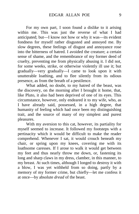For my own part, I soon found a dislike to it arising within me. This was just the reverse of what I had anticipated; but—I know not how or why it was—its evident fondness for myself rather disgusted and annoyed me. By slow degrees, these feelings of disgust and annoyance rose into the bitterness of hatred. I avoided the creature; a certain sense of shame, and the remembrance of my former deed of cruelty, preventing me from physically abusing it. I did not, for some weeks, strike, or otherwise violently ill use it; but gradually—very gradually—I came to look upon it with unutterable loathing, and to flee silently from its odious presence, as from the breath of a pestilence.

What added, no doubt, to my hatred of the beast, was the discovery, on the morning after I brought it home, that, like Pluto, it also had been deprived of one of its eyes. This circumstance, however, only endeared it to my wife, who, as I have already said, possessed, in a high degree, that humanity of feeling which had once been my distinguishing trait, and the source of many of my simplest and purest pleasures.

With my aversion to this cat, however, its partiality for myself seemed to increase. It followed my footsteps with a pertinacity which it would be difficult to make the reader comprehend. Whenever I sat, it would crouch beneath my chair, or spring upon my knees, covering me with its loathsome caresses. If I arose to walk it would get between my feet and thus nearly throw me down, or, fastening its long and sharp claws in my dress, clamber, in this manner, to my breast. At such times, although I longed to destroy it with a blow, I was yet withheld from so doing, partly by a memory of my former crime, but chiefly—let me confess it at once—by absolute *dread* of the beast.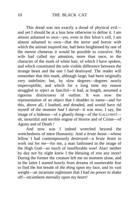This dread was not exactly a dread of physical evil and yet I should be at a loss how otherwise to define it. I am almost ashamed to own—yes, even in this felon's cell, I am almost ashamed to own—that the terror and horror with which the animal inspired me, had been heightened by one of the merest chimeras it would be possible to conceive. My wife had called my attention, more than once, to the character of the mark of white hair, of which I have spoken, and which constituted the sole visible difference between the strange beast and the one I had destroyed. The reader will remember that this mark, although large, had been originally very indefinite; but, by slow degrees—degrees nearly imperceptible, and which for a long time my reason struggled to reject as fanciful—it had, at length, assumed a<br>rigorous distinctness of outline. It was now the rigorous distinctness of outline. It was now the representation of an object that I shudder to name—and for this, above all, I loathed, and dreaded, and would have rid myself of the monster *had I dared*—it was now, I say, the image of a hideous—of a ghastly thing—of the GALLOWS! oh, mournful and terrible engine of Horror and of Crime—of Agony and of Death !

And now was I indeed wretched beyond the wretchedness of mere Humanity. And *a brute beast*—whose fellow I had contemptuously destroyed—*a brute beast* to work out for *me*—for me, a man fashioned in the image of the High God—so much of insufferable woe! Alas! neither by day nor by night knew I the blessing of rest any more! During the former the creature left me no moment alone, and in the latter I started hourly from dreams of unutterable fear to find the hot breath of *the thing* upon my face, and its vast weight—an incarnate nightmare that I had no power to shake off—incumbent eternally upon my *heart!*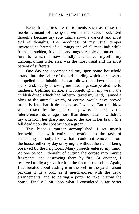Beneath the pressure of torments such as these the feeble remnant of the good within me succumbed. Evil thoughts became my sole intimates—the darkest and most evil of thoughts. The moodiness of my usual temper increased to hatred of all things and of all mankind; while from the sudden, frequent, and ungovernable outbursts of a fury to which I now blindly abandoned myself, my uncomplaining wife, alas, was the most usual and the most patient of sufferers.

One day she accompanied me, upon some household errand, into the cellar of the old building which our poverty compelled us to inhabit. The cat followed me down the steep stairs, and, nearly throwing me headlong, exasperated me to madness. Uplifting an axe, and forgetting, in my wrath, the childish dread which had hitherto stayed my hand, I aimed a blow at the animal, which, of course, would have proved instantly fatal had it descended as I wished. But this blow was arrested by the hand of my wife. Goaded by the interference into a rage more than demoniacal, I withdrew my arm from her grasp and buried the axe in her brain. She fell dead upon the spot without a groan.

This hideous murder accomplished, I set myself forthwith, and with entire deliberation, to the task of concealing the body. I knew that I could not remove it from the house, either by day or by night, without the risk of being observed by the neighbors. Many projects entered my mind. At one period I thought of cutting the corpse into minute fragments, and destroying them by fire. At another, I resolved to dig a grave for it in the floor of the cellar. Again, I deliberated about casting it in the well in the yard—about packing it in a box, as if merchandise, with the usual arrangements, and so getting a porter to take it from the house. Finally I hit upon what I considered a far better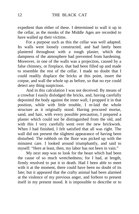expedient than either of these. I determined to wall it up in the cellar, as the monks of the Middle Ages are recorded to have walled up their victims.

For a purpose such as this the cellar was well adapted. Its walls were loosely constructed, and had lately been plastered throughout with a rough plaster, which the dampness of the atmosphere had prevented from hardening. Moreover, in one of the walls was a projection, caused by a false chimney, or fireplace, that had been filled up and made to resemble the rest of the cellar. I made no doubt that I could readily displace the bricks at this point, insert the corpse, and wall the whole up as before, so that no eye could detect any thing suspicious.

And in this calculation I was not deceived. By means of a crowbar I easily dislodged the bricks, and, having carefully deposited the body against the inner wall, I propped it in that position, while with little trouble, I re-laid the whole structure as it originally stood. Having procured mortar, sand, and hair, with every possible precaution, I prepared a plaster which could not be distinguished from the old, and with this I very carefully went over the new brickwork. When I had finished, I felt satisfied that all was right. The wall did not present the slightest appearance of having been disturbed. The rubbish on the floor was picked up with the minutest care. I looked around triumphantly, and said to myself: "Here at least, then, my labor has not been in vain."

My next step was to look for the beast which had been the cause of so much wretchedness; for I had, at length, firmly resolved to put it to death. Had I been able to meet with it at the moment, there could have been no doubt of its fate; but it appeared that the crafty animal had been alarmed at the violence of my previous anger, and forbore to present itself in my present mood. It is impossible to describe or to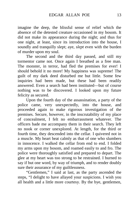imagine the deep, the blissful sense of relief which the absence of the detested creature occasioned in my bosom. It did not make its appearance during the night; and thus for one night, at least, since its introduction into the house, I soundly and tranquilly slept; aye, *slept* even with the burden of murder upon my soul.

The second and the third day passed, and still my tormentor came not. Once again I breathed as a free man. The monster, in terror, had fled the premises for ever! I should behold it no more! My happiness was supreme! The guilt of my dark deed disturbed me but little. Some few inquiries had been made, but these had been readily answered. Even a search had been instituted—but of course nothing was to be discovered. I looked upon my future felicity as secured.

Upon the fourth day of the assassination, a party of the police came, very unexpectedly, into the house, and proceeded again to make rigorous investigation of the premises. Secure, however, in the inscrutability of my place of concealment, I felt no embarrassment whatever. The officers bade me accompany them in their search. They left no nook or corner unexplored. At length, for the third or fourth time, they descended into the cellar. I quivered not in a muscle. My heart beat calmly as that of one who slumbers in innocence. I walked the cellar from end to end. I folded my arms upon my bosom, and roamed easily to and fro. The police were thoroughly satisfied and prepared to depart. The glee at my heart was too strong to be restrained. I burned to say if but one word, by way of triumph, and to render doubly sure their assurance of my guiltlessness.

"Gentlemen," I said at last, as the party ascended the steps, "I delight to have allayed your suspicions. I wish you all health and a little more courtesy. By the bye, gentlemen,